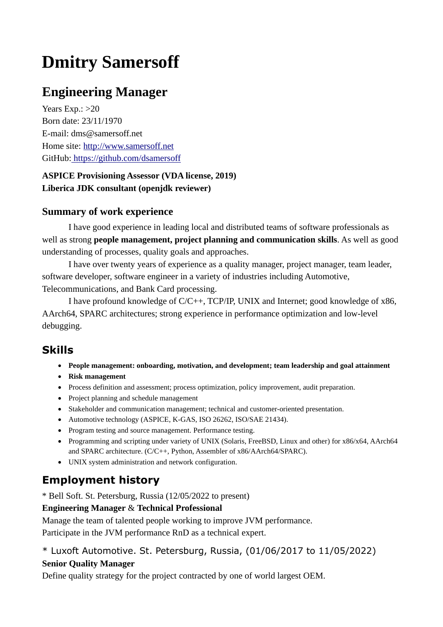# **Dmitry Samersoff**

# **Engineering Manager**

Years Exp.:  $>20$ Born date: 23/11/1970 E-mail: dms@samersoff.net Home site: [http://www.samersoff.net](http://www.samersoff.net/) GitHub: <https://github.com/dsamersoff>

#### **ASPICE Provisioning Assessor (VDA license, 2019) Liberica JDK consultant (openjdk reviewer)**

#### **Summary of work experience**

I have good experience in leading local and distributed teams of software professionals as well as strong **people management, project planning and communication skills**. As well as good understanding of processes, quality goals and approaches.

I have over twenty years of experience as a quality manager, project manager, team leader, software developer, software engineer in a variety of industries including Automotive, Telecommunications, and Bank Card processing.

I have profound knowledge of C/C++, TCP/IP, UNIX and Internet; good knowledge of x86, AArch64, SPARC architectures; strong experience in performance optimization and low-level debugging.

# **Skills**

- **People management: onboarding, motivation, and development; team leadership and goal attainment**
- **Risk management**
- Process definition and assessment; process optimization, policy improvement, audit preparation.
- Project planning and schedule management
- Stakeholder and communication management; technical and customer-oriented presentation.
- Automotive technology (ASPICE, K-GAS, ISO 26262, ISO/SAE 21434).
- Program testing and source management. Performance testing.
- Programming and scripting under variety of UNIX (Solaris, FreeBSD, Linux and other) for x86/x64, AArch64 and SPARC architecture. (C/C++, Python, Assembler of x86/AArch64/SPARC).
- UNIX system administration and network configuration.

# **Employment history**

\* Bell Soft. St. Petersburg, Russia (12/05/2022 to present)

#### **Engineering Manager** & **Technical Professional**

Manage the team of talented people working to improve JVM performance. Participate in the JVM performance RnD as a technical expert.

#### \* Luxoft Automotive. St. Petersburg, Russia, (01/06/2017 to 11/05/2022) **Senior Quality Manager**

Define quality strategy for the project contracted by one of world largest OEM.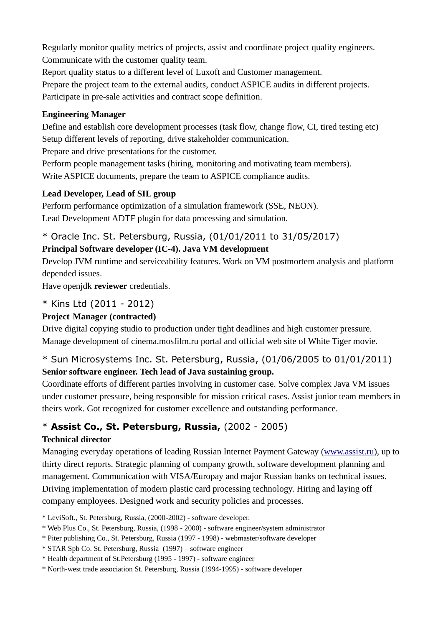Regularly monitor quality metrics of projects, assist and coordinate project quality engineers. Communicate with the customer quality team.

Report quality status to a different level of Luxoft and Customer management.

Prepare the project team to the external audits, conduct ASPICE audits in different projects. Participate in pre-sale activities and contract scope definition.

#### **Engineering Manager**

Define and establish core development processes (task flow, change flow, CI, tired testing etc) Setup different levels of reporting, drive stakeholder communication.

Prepare and drive presentations for the customer.

Perform people management tasks (hiring, monitoring and motivating team members). Write ASPICE documents, prepare the team to ASPICE compliance audits.

#### **Lead Developer, Lead of SIL group**

Perform performance optimization of a simulation framework (SSE, NEON). Lead Development ADTF plugin for data processing and simulation.

# \* Oracle Inc. St. Petersburg, Russia, (01/01/2011 to 31/05/2017)

## **Principal Software developer (IC-4). Java VM development**

Develop JVM runtime and serviceability features. Work on VM postmortem analysis and platform depended issues.

Have openjdk **reviewer** credentials.

## \* Kins Ltd (2011 - 2012)

#### **Project Manager (contracted)**

Drive digital copying studio to production under tight deadlines and high customer pressure. Manage development of cinema.mosfilm.ru portal and official web site of White Tiger movie.

## \* Sun Microsystems Inc. St. Petersburg, Russia, (01/06/2005 to 01/01/2011) **Senior software engineer. Tech lead of Java sustaining group.**

Coordinate efforts of different parties involving in customer case. Solve complex Java VM issues under customer pressure, being responsible for mission critical cases. Assist junior team members in theirs work. [Got recognized f](http://www.samersoff.net/do/index.php/2-uncategorised/76-thecustomer-performance-issue)or customer excellence and outstanding performance.

# \* **Assist Co., St. Petersburg, Russia,** (2002 - 2005)

#### **Technical director**

Managing everyday operations of leading Russian Internet Payment Gateway [\(www.assist.ru\)](http://www.assist.ru/), up to thirty direct reports. Strategic planning of company growth, software development planning and management. Communication with VISA/Europay and major Russian banks on technical issues. Driving implementation of modern plastic card processing technology. Hiring and laying off company employees. Designed work and security policies and processes.

\* LeviSoft., St. Petersburg, Russia, (2000-2002) - software developer.

- \* Web Plus Co., St. Petersburg, Russia, (1998 2000) software engineer/system administrator
- \* Piter publishing Co., St. Petersburg, Russia (1997 1998) webmaster/software developer
- \* STAR Spb Co. St. Petersburg, Russia (1997) software engineer
- \* Health department of St.Petersburg (1995 1997) software engineer
- \* North-west trade association St. Petersburg, Russia (1994-1995) software developer